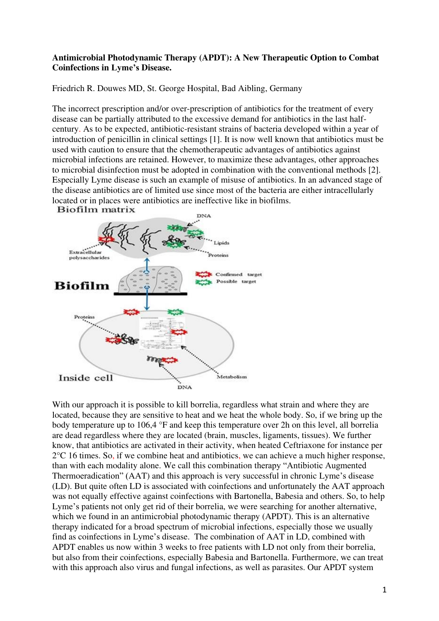## **Antimicrobial Photodynamic Therapy (APDT): A New Therapeutic Option to Combat Coinfections in Lyme's Disease.**

Friedrich R. Douwes MD, St. George Hospital, Bad Aibling, Germany

The incorrect prescription and/or over-prescription of antibiotics for the treatment of every disease can be partially attributed to the excessive demand for antibiotics in the last halfcentury. As to be expected, antibiotic-resistant strains of bacteria developed within a year of introduction of penicillin in clinical settings [1]. It is now well known that antibiotics must be used with caution to ensure that the chemotherapeutic advantages of antibiotics against microbial infections are retained. However, to maximize these advantages, other approaches to microbial disinfection must be adopted in combination with the conventional methods [2]. Especially Lyme disease is such an example of misuse of antibiotics. In an advanced stage of the disease antibiotics are of limited use since most of the bacteria are either intracellularly located or in places were antibiotics are ineffective like in biofilms.



With our approach it is possible to kill borrelia, regardless what strain and where they are located, because they are sensitive to heat and we heat the whole body. So, if we bring up the body temperature up to 106,4 °F and keep this temperature over 2h on this level, all borrelia are dead regardless where they are located (brain, muscles, ligaments, tissues). We further know, that antibiotics are activated in their activity, when heated Ceftriaxone for instance per 2°C 16 times. So, if we combine heat and antibiotics, we can achieve a much higher response, than with each modality alone. We call this combination therapy "Antibiotic Augmented Thermoeradication" (AAT) and this approach is very successful in chronic Lyme's disease (LD). But quite often LD is associated with coinfections and unfortunately the AAT approach was not equally effective against coinfections with Bartonella, Babesia and others. So, to help Lyme's patients not only get rid of their borrelia, we were searching for another alternative, which we found in an antimicrobial photodynamic therapy (APDT). This is an alternative therapy indicated for a broad spectrum of microbial infections, especially those we usually find as coinfections in Lyme's disease. The combination of AAT in LD, combined with APDT enables us now within 3 weeks to free patients with LD not only from their borrelia, but also from their coinfections, especially Babesia and Bartonella. Furthermore, we can treat with this approach also virus and fungal infections, as well as parasites. Our APDT system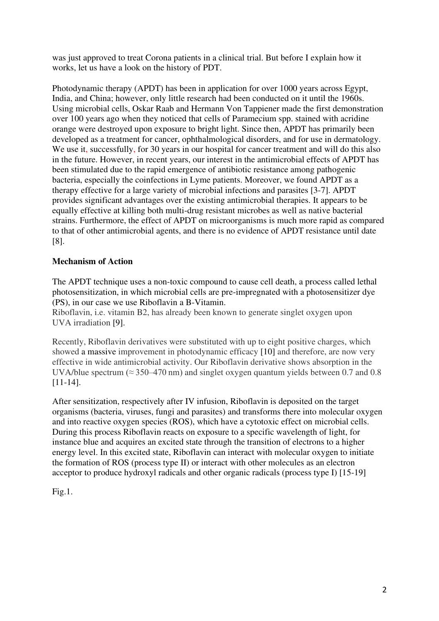was just approved to treat Corona patients in a clinical trial. But before I explain how it works, let us have a look on the history of PDT.

Photodynamic therapy (APDT) has been in application for over 1000 years across Egypt, India, and China; however, only little research had been conducted on it until the 1960s. Using microbial cells, Oskar Raab and Hermann Von Tappiener made the first demonstration over 100 years ago when they noticed that cells of Paramecium spp. stained with acridine orange were destroyed upon exposure to bright light. Since then, APDT has primarily been developed as a treatment for cancer, ophthalmological disorders, and for use in dermatology. We use it, successfully, for 30 years in our hospital for cancer treatment and will do this also in the future. However, in recent years, our interest in the antimicrobial effects of APDT has been stimulated due to the rapid emergence of antibiotic resistance among pathogenic bacteria, especially the coinfections in Lyme patients. Moreover, we found APDT as a therapy effective for a large variety of microbial infections and parasites [3-7]. APDT provides significant advantages over the existing antimicrobial therapies. It appears to be equally effective at killing both multi-drug resistant microbes as well as native bacterial strains. Furthermore, the effect of APDT on microorganisms is much more rapid as compared to that of other antimicrobial agents, and there is no evidence of APDT resistance until date [8].

## **Mechanism of Action**

The APDT technique uses a non-toxic compound to cause cell death, a process called lethal photosensitization, in which microbial cells are pre-impregnated with a photosensitizer dye (PS), in our case we use Riboflavin a B-Vitamin.

Riboflavin, i.e. vitamin B2, has already been known to generate singlet oxygen upon UVA irradiation [9].

Recently, Riboflavin derivatives were substituted with up to eight positive charges, which showed a massive improvement in photodynamic efficacy [10] and therefore, are now very effective in wide antimicrobial activity. Our Riboflavin derivative shows absorption in the UVA/blue spectrum ( $\approx$  350–470 nm) and singlet oxygen quantum yields between 0.7 and 0.8 [11-14].

After sensitization, respectively after IV infusion, Riboflavin is deposited on the target organisms (bacteria, viruses, fungi and parasites) and transforms there into molecular oxygen and into reactive oxygen species (ROS), which have a cytotoxic effect on microbial cells. During this process Riboflavin reacts on exposure to a specific wavelength of light, for instance blue and acquires an excited state through the transition of electrons to a higher energy level. In this excited state, Riboflavin can interact with molecular oxygen to initiate the formation of ROS (process type II) or interact with other molecules as an electron acceptor to produce hydroxyl radicals and other organic radicals (process type I) [15-19]

Fig.1.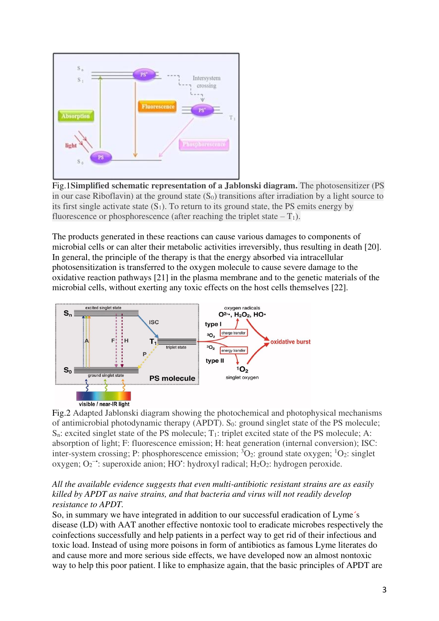

Fig.1**Simplified schematic representation of a Jablonski diagram.** The photosensitizer (PS in our case Riboflavin) at the ground state  $(S_0)$  transitions after irradiation by a light source to its first single activate state  $(S_1)$ . To return to its ground state, the PS emits energy by fluorescence or phosphorescence (after reaching the triplet state  $-T_1$ ).

The products generated in these reactions can cause various damages to components of microbial cells or can alter their metabolic activities irreversibly, thus resulting in death [20]. In general, the principle of the therapy is that the energy absorbed via intracellular photosensitization is transferred to the oxygen molecule to cause severe damage to the oxidative reaction pathways [21] in the plasma membrane and to the genetic materials of the microbial cells, without exerting any toxic effects on the host cells themselves [22].



Fig.2 Adapted Jablonski diagram showing the photochemical and photophysical mechanisms of antimicrobial photodynamic therapy (APDT). S<sub>0</sub>: ground singlet state of the PS molecule;  $S_n$ : excited singlet state of the PS molecule;  $T_1$ : triplet excited state of the PS molecule; A: absorption of light; F: fluorescence emission; H: heat generation (internal conversion); ISC: inter-system crossing; P: phosphorescence emission;  ${}^{3}O_{2}$ : ground state oxygen;  ${}^{1}O_{2}$ : singlet oxygen;  $O_2$ <sup>-•</sup>: superoxide anion; HO<sup>•</sup>: hydroxyl radical; H<sub>2</sub>O<sub>2</sub>: hydrogen peroxide.

## *All the available evidence suggests that even multi-antibiotic resistant strains are as easily killed by APDT as naive strains, and that bacteria and virus will not readily develop resistance to APDT.*

So, in summary we have integrated in addition to our successful eradication of Lyme´s disease (LD) with AAT another effective nontoxic tool to eradicate microbes respectively the coinfections successfully and help patients in a perfect way to get rid of their infectious and toxic load. Instead of using more poisons in form of antibiotics as famous Lyme literates do and cause more and more serious side effects, we have developed now an almost nontoxic way to help this poor patient. I like to emphasize again, that the basic principles of APDT are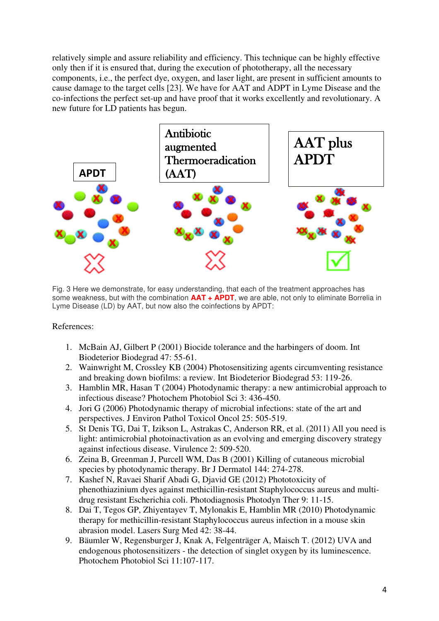relatively simple and assure reliability and efficiency. This technique can be highly effective only then if it is ensured that, during the execution of phototherapy, all the necessary components, i.e., the perfect dye, oxygen, and laser light, are present in sufficient amounts to cause damage to the target cells [23]. We have for AAT and ADPT in Lyme Disease and the co-infections the perfect set-up and have proof that it works excellently and revolutionary. A new future for LD patients has begun.



Fig. 3 Here we demonstrate, for easy understanding, that each of the treatment approaches has some weakness, but with the combination **AAT + APDT**, we are able, not only to eliminate Borrelia in Lyme Disease (LD) by AAT, but now also the coinfections by APDT:

References:

- 1. McBain AJ, Gilbert P (2001) Biocide tolerance and the harbingers of doom. Int Biodeterior Biodegrad 47: 55-61.
- 2. Wainwright M, Crossley KB (2004) Photosensitizing agents circumventing resistance and breaking down biofilms: a review. Int Biodeterior Biodegrad 53: 119-26.
- 3. Hamblin MR, Hasan T (2004) Photodynamic therapy: a new antimicrobial approach to infectious disease? Photochem Photobiol Sci 3: 436-450.
- 4. Jori G (2006) Photodynamic therapy of microbial infections: state of the art and perspectives. J Environ Pathol Toxicol Oncol 25: 505-519.
- 5. St Denis TG, Dai T, Izikson L, Astrakas C, Anderson RR, et al. (2011) All you need is light: antimicrobial photoinactivation as an evolving and emerging discovery strategy against infectious disease. Virulence 2: 509-520.
- 6. Zeina B, Greenman J, Purcell WM, Das B (2001) Killing of cutaneous microbial species by photodynamic therapy. Br J Dermatol 144: 274-278.
- 7. Kashef N, Ravaei Sharif Abadi G, Djavid GE (2012) Phototoxicity of phenothiazinium dyes against methicillin-resistant Staphylococcus aureus and multidrug resistant Escherichia coli. Photodiagnosis Photodyn Ther 9: 11-15.
- 8. Dai T, Tegos GP, Zhiyentayev T, Mylonakis E, Hamblin MR (2010) Photodynamic therapy for methicillin-resistant Staphylococcus aureus infection in a mouse skin abrasion model. Lasers Surg Med 42: 38-44.
- 9. Bäumler W, Regensburger J, Knak A, Felgenträger A, Maisch T. (2012) UVA and endogenous photosensitizers - the detection of singlet oxygen by its luminescence. Photochem Photobiol Sci 11:107-117.